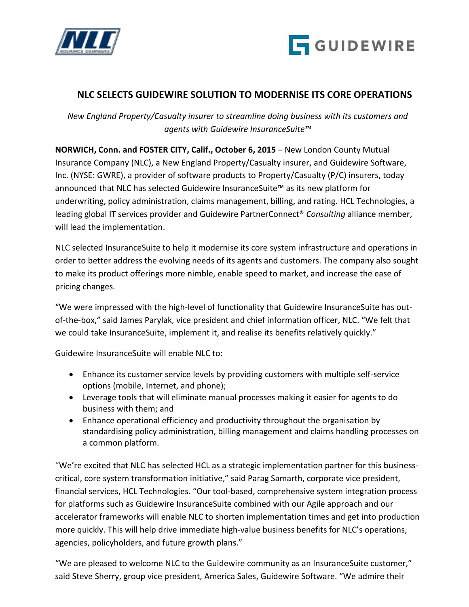



# **NLC SELECTS GUIDEWIRE SOLUTION TO MODERNISE ITS CORE OPERATIONS**

*New England Property/Casualty insurer to streamline doing business with its customers and agents with Guidewire InsuranceSuite™*

**NORWICH, Conn. and FOSTER CITY, Calif., October 6, 2015** – New London County Mutual Insurance Company (NLC), a New England Property/Casualty insurer, and Guidewire Software, Inc. (NYSE: GWRE), a provider of software products to Property/Casualty (P/C) insurers, today announced that NLC has selected Guidewire InsuranceSuite™ as its new platform for underwriting, policy administration, claims management, billing, and rating. HCL Technologies, a leading global IT services provider and Guidewire PartnerConnect® *Consulting* alliance member, will lead the implementation.

NLC selected InsuranceSuite to help it modernise its core system infrastructure and operations in order to better address the evolving needs of its agents and customers. The company also sought to make its product offerings more nimble, enable speed to market, and increase the ease of pricing changes.

"We were impressed with the high-level of functionality that Guidewire InsuranceSuite has outof-the-box," said James Parylak, vice president and chief information officer, NLC. "We felt that we could take InsuranceSuite, implement it, and realise its benefits relatively quickly."

Guidewire InsuranceSuite will enable NLC to:

- Enhance its customer service levels by providing customers with multiple self-service options (mobile, Internet, and phone);
- Leverage tools that will eliminate manual processes making it easier for agents to do business with them; and
- Enhance operational efficiency and productivity throughout the organisation by standardising policy administration, billing management and claims handling processes on a common platform.

"We're excited that NLC has selected HCL as a strategic implementation partner for this businesscritical, core system transformation initiative," said Parag Samarth, corporate vice president, financial services, HCL Technologies. "Our tool-based, comprehensive system integration process for platforms such as Guidewire InsuranceSuite combined with our Agile approach and our accelerator frameworks will enable NLC to shorten implementation times and get into production more quickly. This will help drive immediate high-value business benefits for NLC's operations, agencies, policyholders, and future growth plans."

"We are pleased to welcome NLC to the Guidewire community as an InsuranceSuite customer," said Steve Sherry, group vice president, America Sales, Guidewire Software. "We admire their